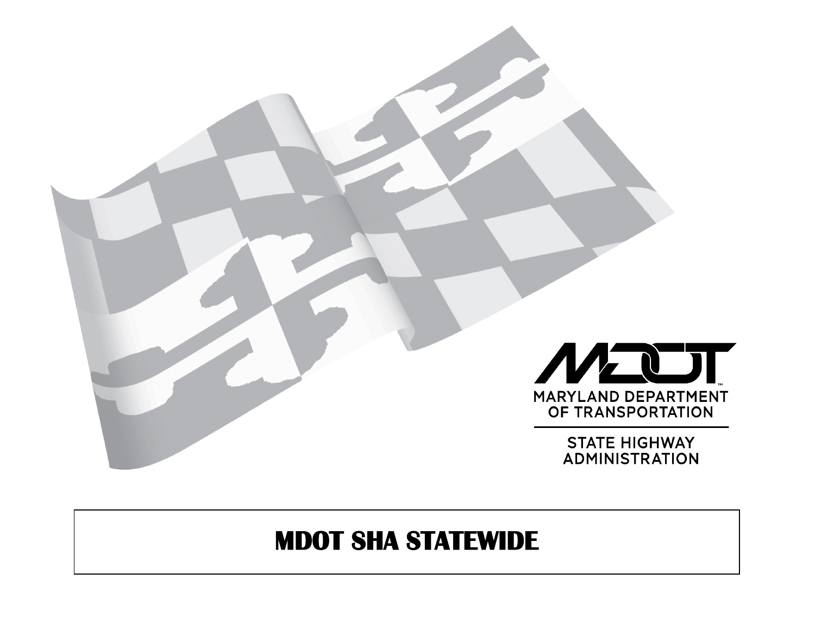

# **MDOT SHA STATEWIDE**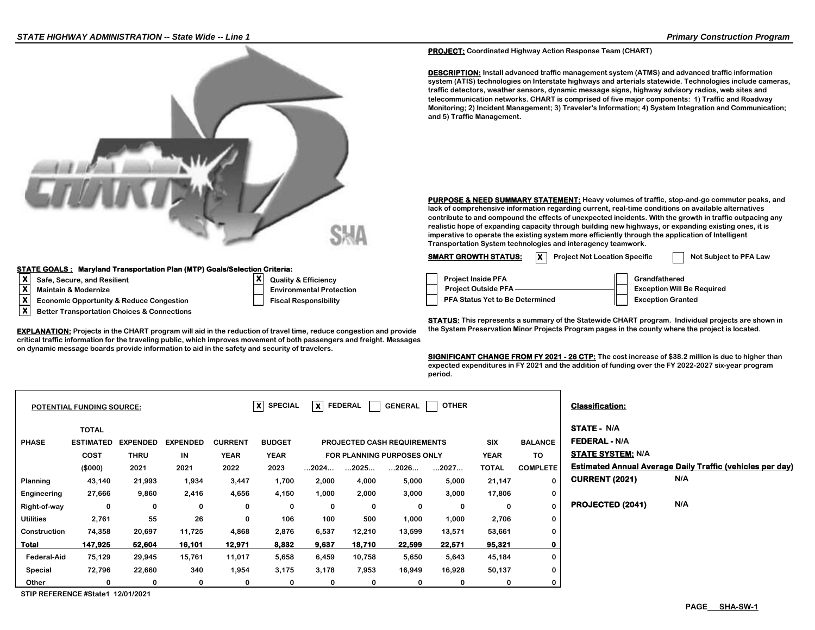

#### **STATE GOALS : Maryland Transportation Plan (MTP) Goals/Selection Criteria:**

- 
- **X Maintain & Modernize**
- **X Economic Opportunity & Reduce Congestion Fiscal Responsibility PFA Status Yet to Be Determined Exception Granted**
- **X Better Transportation Choices & Connections**

**critical traffic information for the traveling public, which improves movement of both passengers and freight. Messages on dynamic message boards provide information to aid in the safety and security of travelers.**

**PROJECT: Coordinated Highway Action Response Team (CHART)**

**DESCRIPTION: Install advanced traffic management system (ATMS) and advanced traffic information system (ATIS) technologies on Interstate highways and arterials statewide. Technologies include cameras, traffic detectors, weather sensors, dynamic message signs, highway advisory radios, web sites and telecommunication networks. CHART is comprised of five major components: 1) Traffic and Roadway Monitoring; 2) Incident Management; 3) Traveler's Information; 4) System Integration and Communication; and 5) Traffic Management.**

**PURPOSE & NEED SUMMARY STATEMENT: Heavy volumes of traffic, stop-and-go commuter peaks, and lack of comprehensive information regarding current, real-time conditions on available alternatives contribute to and compound the effects of unexpected incidents. With the growth in traffic outpacing any realistic hope of expanding capacity through building new highways, or expanding existing ones, it is imperative to operate the existing system more efficiently through the application of Intelligent Transportation System technologies and interagency teamwork.**

**SMART GROWTH STATUS:**  $\overline{X}$  Project Not Location Specific  $\overline{X}$  Not Subject to PFA Law

| x۱        | Safe, Secure, and Resilient                         | <b>Quality &amp; Efficiency</b> | <b>Project Inside PFA</b>       | Grandfathered                     |
|-----------|-----------------------------------------------------|---------------------------------|---------------------------------|-----------------------------------|
| v         | Maintain & Modernize                                | <b>Environmental Protection</b> | <b>Project Outside PFA</b>      | <b>Exception Will Be Required</b> |
| $\bullet$ | <b>Economic Opportunity &amp; Reduce Congestion</b> | <b>Fiscal Responsibility</b>    | PFA Status Yet to Be Determined | <b>Exception Granted</b>          |

**STATUS: This represents a summary of the Statewide CHART program. Individual projects are shown in**  EXPLANATION: Projects in the CHART program will aid in the reduction of travel time, reduce congestion and provide the System Preservation Minor Projects Program pages in the county where the project is located.

> **SIGNIFICANT CHANGE FROM FY 2021 - 26 CTP: The cost increase of \$38.2 million is due to higher than expected expenditures in FY 2021 and the addition of funding over the FY 2022-2027 six-year program period.**

|                  | <b>POTENTIAL FUNDING SOURCE:</b>                           |                                        |                               |                                       | $ X $ SPECIAL                        | X FEDERAL            |        | <b>GENERAL</b>                                                                  | <b>OTHER</b> |                                    |                                          | <b>Classification:</b>                                                 |                                                                  |
|------------------|------------------------------------------------------------|----------------------------------------|-------------------------------|---------------------------------------|--------------------------------------|----------------------|--------|---------------------------------------------------------------------------------|--------------|------------------------------------|------------------------------------------|------------------------------------------------------------------------|------------------------------------------------------------------|
| <b>PHASE</b>     | <b>TOTAL</b><br><b>ESTIMATED</b><br><b>COST</b><br>(\$000) | <b>EXPENDED</b><br><b>THRU</b><br>2021 | <b>EXPENDED</b><br>IN<br>2021 | <b>CURRENT</b><br><b>YEAR</b><br>2022 | <b>BUDGET</b><br><b>YEAR</b><br>2023 | $\dots$ 2024 $\dots$ | 2025   | <b>PROJECTED CASH REQUIREMENTS</b><br><b>FOR PLANNING PURPOSES ONLY</b><br>2026 | 2027         | SIX<br><b>YEAR</b><br><b>TOTAL</b> | <b>BALANCE</b><br>TO.<br><b>COMPLETE</b> | <b>STATE - N/A</b><br><b>FEDERAL - N/A</b><br><b>STATE SYSTEM: N/A</b> | <b>Estimated Annual Average Daily Traffic (vehicles per day)</b> |
| Planning         | 43,140                                                     | 21,993                                 | 1,934                         | 3,447                                 | 1,700                                | 2,000                | 4,000  | 5,000                                                                           | 5,000        | 21,147                             | $\Omega$                                 | <b>CURRENT (2021)</b>                                                  | N/A                                                              |
| Engineering      | 27,666                                                     | 9,860                                  | 2,416                         | 4,656                                 | 4,150                                | 1,000                | 2,000  | 3,000                                                                           | 3,000        | 17,806                             | 0                                        |                                                                        |                                                                  |
| Right-of-way     | 0                                                          | 0                                      | 0                             | 0                                     | 0                                    | 0                    | 0      | 0                                                                               | 0            | 0                                  | $\boldsymbol{0}$                         | PROJECTED (2041)                                                       | N/A                                                              |
| <b>Utilities</b> | 2,761                                                      | 55                                     | 26                            | 0                                     | 106                                  | 100                  | 500    | 1,000                                                                           | 1,000        | 2,706                              | $\bf{0}$                                 |                                                                        |                                                                  |
| Construction     | 74,358                                                     | 20,697                                 | 11,725                        | 4,868                                 | 2,876                                | 6,537                | 12,210 | 13,599                                                                          | 13,571       | 53,661                             | 0                                        |                                                                        |                                                                  |
| Total            | 147,925                                                    | 52,604                                 | 16,101                        | 12,971                                | 8,832                                | 9,637                | 18,710 | 22,599                                                                          | 22,571       | 95,321                             | 0                                        |                                                                        |                                                                  |
| Federal-Aid      | 75,129                                                     | 29,945                                 | 15,761                        | 11,017                                | 5,658                                | 6,459                | 10,758 | 5,650                                                                           | 5,643        | 45,184                             | $\bf{0}$                                 |                                                                        |                                                                  |
| Special          | 72,796                                                     | 22,660                                 | 340                           | 1,954                                 | 3,175                                | 3,178                | 7,953  | 16,949                                                                          | 16,928       | 50,137                             | 0                                        |                                                                        |                                                                  |
| Other            | 0                                                          | $\Omega$                               | 0                             | 0                                     | 0                                    | 0                    | 0      | 0                                                                               | 0            | 0                                  | 0                                        |                                                                        |                                                                  |

**STIP REFERENCE #State1 12/01/2021**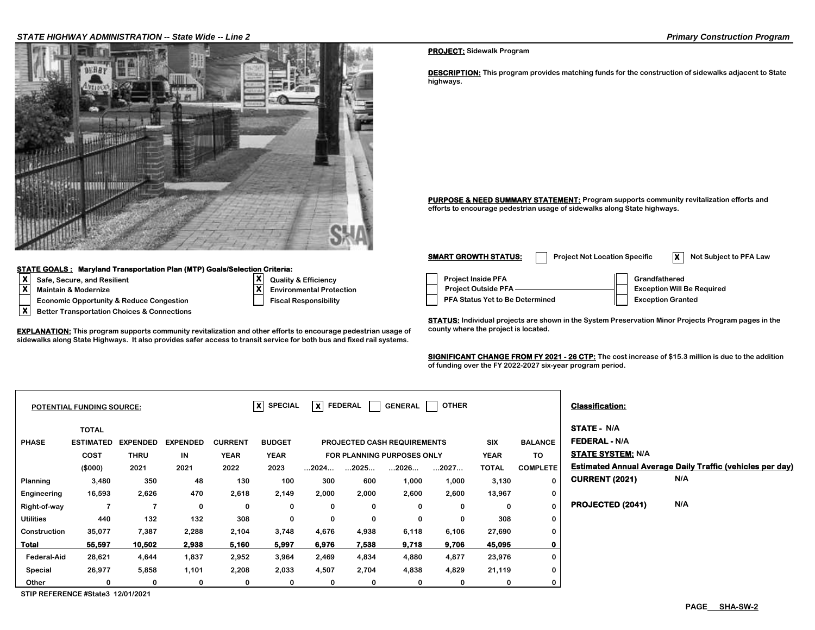### *STATE HIGHWAY ADMINISTRATION -- State Wide -- Line 2 Primary Construction Program*



#### **STATE GOALS : Maryland Transportation Plan (MTP) Goals/Selection Criteria:**

**X Better Transportation Choices & Connections**

**Maintain & Modernize** 

- **X**
- 

**EXPLANATION:** This program supports community revitalization and other efforts to encourage pedestrian usage of county where the project is located. **sidewalks along State Highways. It also provides safer access to transit service for both bus and fixed rail systems.**

#### **PROJECT: Sidewalk Program**

**DESCRIPTION: This program provides matching funds for the construction of sidewalks adjacent to State highways.**

**PURPOSE & NEED SUMMARY STATEMENT: Program supports community revitalization efforts and efforts to encourage pedestrian usage of sidewalks along State highways.**

**X**<br> **X** Building and Resilient Contract Control Control Control Control Control Control Control Control Control Control Control Control Control Control Control Control Control Control Control Control Control Control Contr **Economic Opportunity & Reduce Congestion Fiscal Responsibility Responsibility PFA Status Yet to Be Determined Fiscal Responsibility Environmental Protection Project Outside PFA <u>Conservation Mill</u> Exception Will Be Required SMART GROWTH STATUS:** Project Not Location Specific **X** Not Subject to PFA Law

**STATUS: Individual projects are shown in the System Preservation Minor Projects Program pages in the** 

**SIGNIFICANT CHANGE FROM FY 2021 - 26 CTP: The cost increase of \$15.3 million is due to the addition of funding over the FY 2022-2027 six-year program period.**

|                    | <b>POTENTIAL FUNDING SOURCE:</b>                |                                |                       |                               | $x$ SPECIAL                  | X FEDERAL |             | <b>GENERAL</b>                                                          | <b>OTHER</b> |                           |                       | <b>Classification:</b>                                                 |                                                                  |
|--------------------|-------------------------------------------------|--------------------------------|-----------------------|-------------------------------|------------------------------|-----------|-------------|-------------------------------------------------------------------------|--------------|---------------------------|-----------------------|------------------------------------------------------------------------|------------------------------------------------------------------|
| <b>PHASE</b>       | <b>TOTAL</b><br><b>ESTIMATED</b><br><b>COST</b> | <b>EXPENDED</b><br><b>THRU</b> | <b>EXPENDED</b><br>IN | <b>CURRENT</b><br><b>YEAR</b> | <b>BUDGET</b><br><b>YEAR</b> |           |             | <b>PROJECTED CASH REQUIREMENTS</b><br><b>FOR PLANNING PURPOSES ONLY</b> |              | <b>SIX</b><br><b>YEAR</b> | <b>BALANCE</b><br>TO. | <b>STATE - N/A</b><br><b>FEDERAL - N/A</b><br><b>STATE SYSTEM: N/A</b> |                                                                  |
|                    | (\$000)                                         | 2021                           | 2021                  | 2022                          | 2023                         | 2024      | 2025        | 2026                                                                    | 2027         | <b>TOTAL</b>              | <b>COMPLETE</b>       |                                                                        | <b>Estimated Annual Average Daily Traffic (vehicles per day)</b> |
| Planning           | 3,480                                           | 350                            | 48                    | 130                           | 100                          | 300       | 600         | 1,000                                                                   | 1,000        | 3,130                     | $\bf{0}$              | <b>CURRENT (2021)</b>                                                  | N/A                                                              |
| Engineering        | 16,593                                          | 2,626                          | 470                   | 2,618                         | 2,149                        | 2,000     | 2,000       | 2,600                                                                   | 2,600        | 13,967                    | 0                     |                                                                        |                                                                  |
| Right-of-way       |                                                 |                                | 0                     | 0                             | 0                            | 0         | $\mathbf 0$ | 0                                                                       | 0            | 0                         | $\bf{0}$              | PROJECTED (2041)                                                       | N/A                                                              |
| <b>Utilities</b>   | 440                                             | 132                            | 132                   | 308                           | 0                            | 0         | $\mathbf 0$ | $\mathbf 0$                                                             | $\mathbf 0$  | 308                       | 0                     |                                                                        |                                                                  |
| Construction       | 35,077                                          | 7,387                          | 2,288                 | 2,104                         | 3,748                        | 4,676     | 4,938       | 6,118                                                                   | 6,106        | 27,690                    | 0                     |                                                                        |                                                                  |
| Total              | 55,597                                          | 10,502                         | 2,938                 | 5,160                         | 5,997                        | 6,976     | 7,538       | 9,718                                                                   | 9,706        | 45,095                    | 0                     |                                                                        |                                                                  |
| <b>Federal-Aid</b> | 28,621                                          | 4,644                          | 1,837                 | 2,952                         | 3,964                        | 2,469     | 4,834       | 4,880                                                                   | 4,877        | 23,976                    | 0                     |                                                                        |                                                                  |
| Special            | 26,977                                          | 5,858                          | 1,101                 | 2,208                         | 2,033                        | 4,507     | 2,704       | 4,838                                                                   | 4,829        | 21,119                    | 0                     |                                                                        |                                                                  |
| Other              | 0                                               | 0                              | 0                     | 0                             | 0                            | 0         | 0           | 0                                                                       | 0            | 0                         | 0                     |                                                                        |                                                                  |

**STIP REFERENCE #State3 12/01/2021**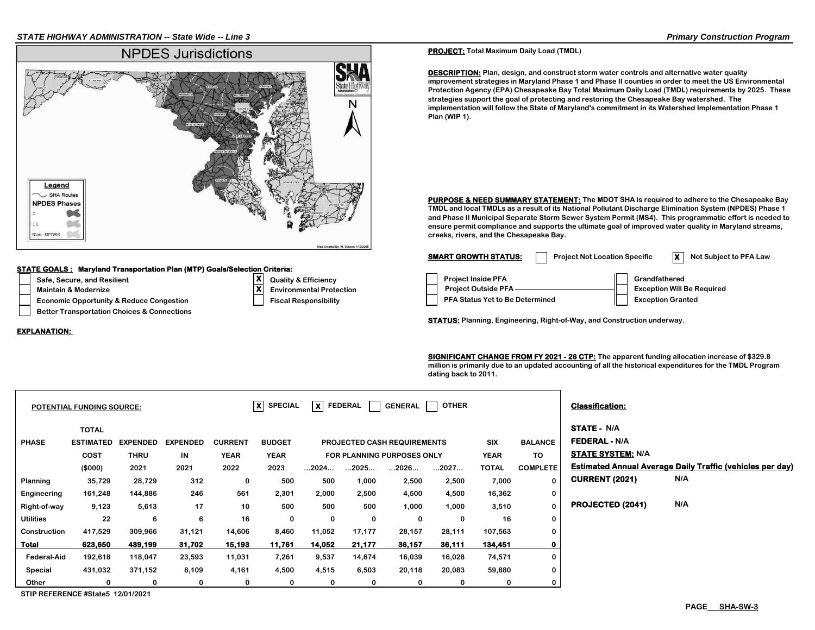

#### **STATE GOALS : Maryland Transportation Plan (MTP) Goals/Selection Criteria:**

- 
- **Maintain & Modernize**

**EXPLANATION:** 

- **Economic Opportunity & Reduce Congestion Fiscal Responsibility A Status Yet Algebra**
- **Better Transportation Choices & Connections**

# **Safe, Secure, and Resilient Quality & Efficiency Project Inside PFA Grandfathered Environmental Protection**

**X**

### **PROJECT: Total Maximum Daily Load (TMDL)**

**DESCRIPTION:** Plan, design, and construct storm water controls and alternative water quality **improvement strategies in Maryland Phase 1 and Phase II counties in order to meet the US Environmental Protection Agency (EPA) Chesapeake Bay Total Maximum Daily Load (TMDL) requirements by 2025. These strategies support the goal of protecting and restoring the Chesapeake Bay watershed. The implementation will follow the State of Maryland's commitment in its Watershed Implementation Phase 1 Plan (WIP 1).** 

**PURPOSE & NEED SUMMARY STATEMENT: The MDOT SHA is required to adhere to the Chesapeake Bay TMDL and local TMDLs as a result of its National Pollutant Discharge Elimination System (NPDES) Phase 1 and Phase II Municipal Separate Storm Sewer System Permit (MS4). This programmatic effort is needed to ensure permit compliance and supports the ultimate goal of improved water quality in Maryland streams, creeks, rivers, and the Chesapeake Bay.** 

| <b>SMART GROWTH STATUS:</b>                                                                       | <b>Project Not Location Specific</b> |                                           | Not Subject to PFA Law            |
|---------------------------------------------------------------------------------------------------|--------------------------------------|-------------------------------------------|-----------------------------------|
| <b>Project Inside PFA</b><br><b>Project Outside PFA</b><br><b>PFA Status Yet to Be Determined</b> |                                      | Grandfathered<br><b>Exception Granted</b> | <b>Exception Will Be Required</b> |

**STATUS: Planning, Engineering, Right-of-Way, and Construction underway.**

**SIGNIFICANT CHANGE FROM FY 2021 - 26 CTP: The apparent funding allocation increase of \$329.8 million is primarily due to an updated accounting of all the historical expenditures for the TMDL Program dating back to 2011.**

|                    | <b>POTENTIAL FUNDING SOURCE:</b>                |                                |                       |                               | $ x $ SPECIAL                | $ \mathsf{x} $ Federal |        | GENERAL                                                                 | <b>OTHER</b> |                           |                      | <b>Classification:</b>                                                 |                                                                  |
|--------------------|-------------------------------------------------|--------------------------------|-----------------------|-------------------------------|------------------------------|------------------------|--------|-------------------------------------------------------------------------|--------------|---------------------------|----------------------|------------------------------------------------------------------------|------------------------------------------------------------------|
| <b>PHASE</b>       | <b>TOTAL</b><br><b>ESTIMATED</b><br><b>COST</b> | <b>EXPENDED</b><br><b>THRU</b> | <b>EXPENDED</b><br>IN | <b>CURRENT</b><br><b>YEAR</b> | <b>BUDGET</b><br><b>YEAR</b> |                        |        | <b>PROJECTED CASH REQUIREMENTS</b><br><b>FOR PLANNING PURPOSES ONLY</b> |              | <b>SIX</b><br><b>YEAR</b> | <b>BALANCE</b><br>TO | <b>STATE - N/A</b><br><b>FEDERAL - N/A</b><br><b>STATE SYSTEM: N/A</b> |                                                                  |
|                    | (\$000)                                         | 2021                           | 2021                  | 2022                          | 2023                         | 2024                   | 2025   | 2026                                                                    | 2027         | <b>TOTAL</b>              | <b>COMPLETE</b>      |                                                                        | <b>Estimated Annual Average Daily Traffic (vehicles per day)</b> |
| Planning           | 35,729                                          | 28,729                         | 312                   | 0                             | 500                          | 500                    | 1,000  | 2,500                                                                   | 2,500        | 7,000                     | 0                    | <b>CURRENT (2021)</b>                                                  | N/A                                                              |
| Engineering        | 161,248                                         | 144,886                        | 246                   | 561                           | 2,301                        | 2,000                  | 2,500  | 4,500                                                                   | 4,500        | 16,362                    | 0                    |                                                                        |                                                                  |
| Right-of-way       | 9,123                                           | 5,613                          | 17                    | 10                            | 500                          | 500                    | 500    | 1,000                                                                   | 1,000        | 3,510                     | 0                    | PROJECTED (2041)                                                       | N/A                                                              |
| <b>Utilities</b>   | 22                                              | 6                              | 6                     | 16                            | 0                            | 0                      | 0      | 0                                                                       | 0            | 16                        | 0                    |                                                                        |                                                                  |
| Construction       | 417,529                                         | 309,966                        | 31,121                | 14,606                        | 8,460                        | 11,052                 | 17,177 | 28,157                                                                  | 28,111       | 107,563                   | 0                    |                                                                        |                                                                  |
| Total              | 623,650                                         | 489,199                        | 31,702                | 15,193                        | 11,761                       | 14,052                 | 21,177 | 36,157                                                                  | 36,111       | 134,451                   | $\mathbf 0$          |                                                                        |                                                                  |
| <b>Federal-Aid</b> | 192,618                                         | 118,047                        | 23,593                | 11,031                        | 7,261                        | 9,537                  | 14,674 | 16,039                                                                  | 16,028       | 74,571                    | 0                    |                                                                        |                                                                  |
| Special            | 431,032                                         | 371,152                        | 8,109                 | 4,161                         | 4,500                        | 4,515                  | 6,503  | 20,118                                                                  | 20,083       | 59,880                    | 0                    |                                                                        |                                                                  |
| Other              | $\Omega$                                        | 0                              | 0                     | 0                             | 0                            | 0                      | 0      | 0                                                                       | 0            |                           | 0                    |                                                                        |                                                                  |

**STIP REFERENCE #State5 12/01/2021**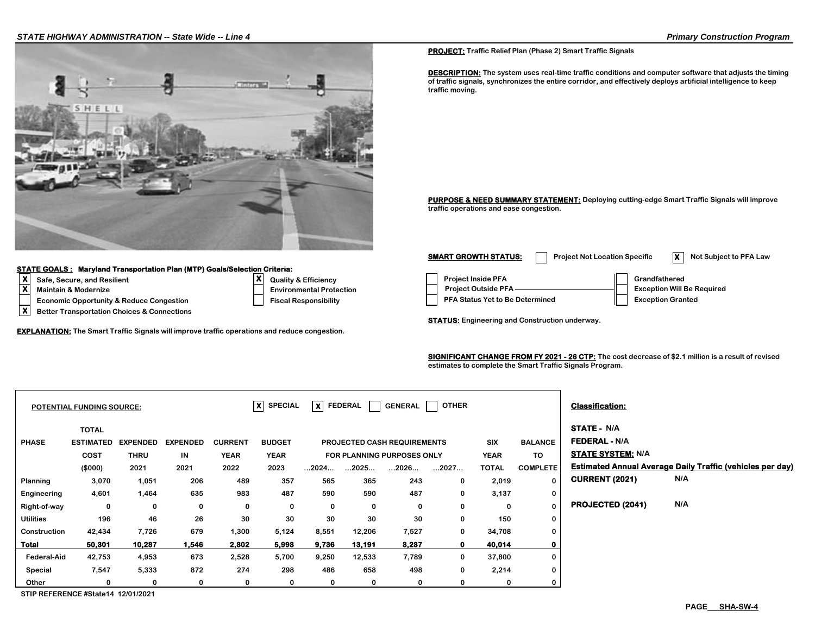

#### **STATE GOALS : Maryland Transportation Plan (MTP) Goals/Selection Criteria:**

- 
- **X Maintain & Modernize**
- 
- **X Better Transportation Choices & Connections**

**EXPLANATION: The Smart Traffic Signals will improve traffic operations and reduce congestion.**

**X**

**PROJECT: Traffic Relief Plan (Phase 2) Smart Traffic Signals**

**DESCRIPTION: The system uses real-time traffic conditions and computer software that adjusts the timing of traffic signals, synchronizes the entire corridor, and effectively deploys artificial intelligence to keep traffic moving.**

**PURPOSE & NEED SUMMARY STATEMENT: Deploying cutting-edge Smart Traffic Signals will improve traffic operations and ease congestion.**

**X**<br> **X** Quality & Efficiency **Consumersion**<br> **X** Maintain & Modernize Exception Will I Denvironmental Protection Project Outside PFA **CRA** Broom Bundfathered **Economic Opportunity & Reduce Congestion Fiscal Responsibility Responsibility PFA Status Yet to Be Determined Fiscal Responsibility Environmental Protection Project Outside PFA <u>Conservation Mill</u> Exception Will Be Required SMART GROWTH STATUS:** Project Not Location Specific **X** Not Subject to PFA Law

**STATUS: Engineering and Construction underway.**

**SIGNIFICANT CHANGE FROM FY 2021 - 26 CTP: The cost decrease of \$2.1 million is a result of revised estimates to complete the Smart Traffic Signals Program.** 

|                  | <b>POTENTIAL FUNDING SOURCE:</b>                |                                |                       |                               | $ X $ SPECIAL                | $\overline{\mathsf{x}}$ FEDERAL |        | GENERAL                                                                 | <b>OTHER</b> |                    |                      | <b>Classification:</b>                                                 |                                                                  |
|------------------|-------------------------------------------------|--------------------------------|-----------------------|-------------------------------|------------------------------|---------------------------------|--------|-------------------------------------------------------------------------|--------------|--------------------|----------------------|------------------------------------------------------------------------|------------------------------------------------------------------|
| <b>PHASE</b>     | <b>TOTAL</b><br><b>ESTIMATED</b><br><b>COST</b> | <b>EXPENDED</b><br><b>THRU</b> | <b>EXPENDED</b><br>IN | <b>CURRENT</b><br><b>YEAR</b> | <b>BUDGET</b><br><b>YEAR</b> |                                 |        | <b>PROJECTED CASH REQUIREMENTS</b><br><b>FOR PLANNING PURPOSES ONLY</b> |              | SIX<br><b>YEAR</b> | <b>BALANCE</b><br>TO | <b>STATE - N/A</b><br><b>FEDERAL - N/A</b><br><b>STATE SYSTEM: N/A</b> |                                                                  |
|                  | (\$000)                                         | 2021                           | 2021                  | 2022                          | 2023                         | 2024                            | 2025   | 2026                                                                    | 2027         | <b>TOTAL</b>       | <b>COMPLETE</b>      |                                                                        | <b>Estimated Annual Average Daily Traffic (vehicles per day)</b> |
| Planning         | 3,070                                           | 1,051                          | 206                   | 489                           | 357                          | 565                             | 365    | 243                                                                     | 0            | 2,019              | 0                    | <b>CURRENT (2021)</b>                                                  | N/A                                                              |
| Engineering      | 4,601                                           | 1,464                          | 635                   | 983                           | 487                          | 590                             | 590    | 487                                                                     | $\mathbf 0$  | 3,137              | 0                    |                                                                        |                                                                  |
| Right-of-way     | 0                                               | 0                              | 0                     | 0                             | 0                            | 0                               | 0      | 0                                                                       | 0            | 0                  | 0                    | PROJECTED (2041)                                                       | N/A                                                              |
| <b>Utilities</b> | 196                                             | 46                             | 26                    | 30                            | 30                           | 30                              | 30     | 30                                                                      | 0            | 150                | 0                    |                                                                        |                                                                  |
| Construction     | 42,434                                          | 7,726                          | 679                   | 1,300                         | 5,124                        | 8,551                           | 12,206 | 7,527                                                                   | 0            | 34,708             | 0                    |                                                                        |                                                                  |
| <b>Total</b>     | 50,301                                          | 10,287                         | 1,546                 | 2,802                         | 5,998                        | 9,736                           | 13,191 | 8,287                                                                   | $\mathbf{0}$ | 40,014             | $\mathbf 0$          |                                                                        |                                                                  |
| Federal-Aid      | 42,753                                          | 4,953                          | 673                   | 2,528                         | 5,700                        | 9,250                           | 12,533 | 7,789                                                                   | 0            | 37,800             | 0                    |                                                                        |                                                                  |
| Special          | 7,547                                           | 5,333                          | 872                   | 274                           | 298                          | 486                             | 658    | 498                                                                     | 0            | 2,214              | 0                    |                                                                        |                                                                  |
| Other            | 0                                               | 0                              | 0                     | 0                             | 0                            | 0                               | 0      | 0                                                                       | 0            | 0                  | 0                    |                                                                        |                                                                  |

**STIP REFERENCE #State14 12/01/2021**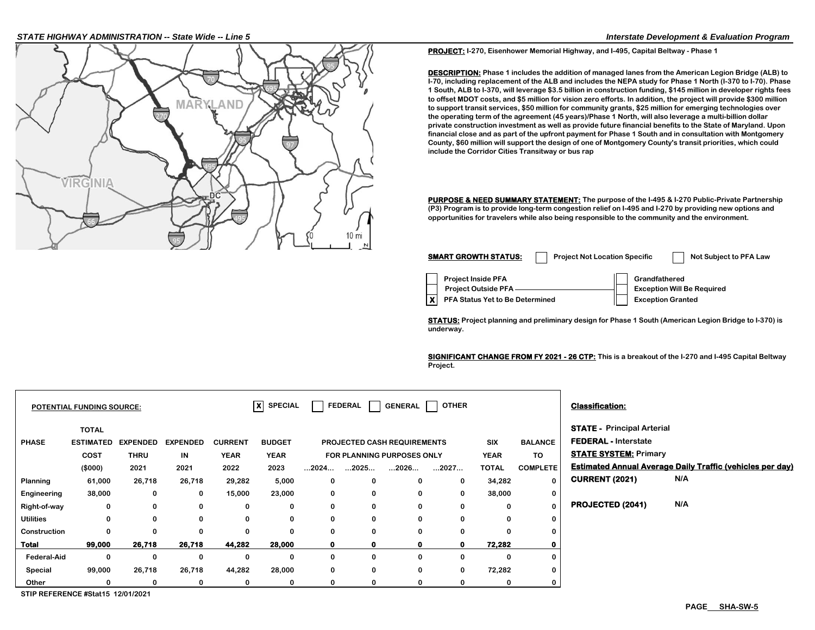#### *STATE HIGHWAY ADMINISTRATION -- State Wide -- Line 5 Interstate Development & Evaluation Program*



**PROJECT: I-270, Eisenhower Memorial Highway, and I-495, Capital Beltway - Phase 1**

**DESCRIPTION: Phase 1 includes the addition of managed lanes from the American Legion Bridge (ALB) to I-70, including replacement of the ALB and includes the NEPA study for Phase 1 North (I-370 to I-70). Phase 1 South, ALB to I-370, will leverage \$3.5 billion in construction funding, \$145 million in developer rights fees to offset MDOT costs, and \$5 million for vision zero efforts. In addition, the project will provide \$300 million to support transit services, \$50 million for community grants, \$25 million for emerging technologies over the operating term of the agreement (45 years)/Phase 1 North, will also leverage a multi-billion dollar private construction investment as well as provide future financial benefits to the State of Maryland. Upon financial close and as part of the upfront payment for Phase 1 South and in consultation with Montgomery County, \$60 million will support the design of one of Montgomery County's transit priorities, which could include the Corridor Cities Transitway or bus rap**

**PURPOSE & NEED SUMMARY STATEMENT: The purpose of the I-495 & I-270 Public-Private Partnership (P3) Program is to provide long-term congestion relief on I-495 and I-270 by providing new options and opportunities for travelers while also being responsible to the community and the environment.** 

| <b>SMART GROWTH STATUS:</b>                             | <b>Project Not Location Specific</b> |                          | Not Subject to PFA Law            |
|---------------------------------------------------------|--------------------------------------|--------------------------|-----------------------------------|
| <b>Project Inside PFA</b><br><b>Project Outside PFA</b> |                                      | Grandfathered            | <b>Exception Will Be Required</b> |
| PFA Status Yet to Be Determined                         |                                      | <b>Exception Granted</b> |                                   |

**STATUS: Project planning and preliminary design for Phase 1 South (American Legion Bridge to I-370) is underway.**

**SIGNIFICANT CHANGE FROM FY 2021 - 26 CTP: This is a breakout of the I-270 and I-495 Capital Beltway Project.** 

|                    | POTENTIAL FUNDING SOURCE: |                 |                 |                | $x$ SPECIAL   |              | <b>FEDERAL</b> | <b>GENERAL</b>                     | <b>OTHER</b> |              |                 | <b>Classification:</b>            |                                                                  |
|--------------------|---------------------------|-----------------|-----------------|----------------|---------------|--------------|----------------|------------------------------------|--------------|--------------|-----------------|-----------------------------------|------------------------------------------------------------------|
|                    | <b>TOTAL</b>              |                 |                 |                |               |              |                |                                    |              |              |                 | <b>STATE - Principal Arterial</b> |                                                                  |
| <b>PHASE</b>       | <b>ESTIMATED</b>          | <b>EXPENDED</b> | <b>EXPENDED</b> | <b>CURRENT</b> | <b>BUDGET</b> |              |                | <b>PROJECTED CASH REQUIREMENTS</b> |              | <b>SIX</b>   | <b>BALANCE</b>  | <b>FEDERAL - Interstate</b>       |                                                                  |
|                    | COST                      | <b>THRU</b>     | IN              | <b>YEAR</b>    | <b>YEAR</b>   |              |                | FOR PLANNING PURPOSES ONLY         |              | <b>YEAR</b>  | TO.             | <b>STATE SYSTEM: Primary</b>      |                                                                  |
|                    | (\$000)                   | 2021            | 2021            | 2022           | 2023          | 2024         | 2025           | 2026                               | 2027         | <b>TOTAL</b> | <b>COMPLETE</b> |                                   | <b>Estimated Annual Average Daily Traffic (vehicles per day)</b> |
| Planning           | 61,000                    | 26,718          | 26,718          | 29,282         | 5,000         | 0            | 0              | $\mathbf{0}$                       | $\mathbf 0$  | 34,282       | 0               | <b>CURRENT (2021)</b>             | N/A                                                              |
| Engineering        | 38,000                    | 0               | 0               | 15,000         | 23,000        | 0            | 0              | 0                                  | 0            | 38,000       | 0               |                                   |                                                                  |
| Right-of-way       | 0                         | 0               | 0               | 0              | 0             | 0            | 0              | 0                                  | 0            | $\Omega$     | 0               | PROJECTED (2041)                  | N/A                                                              |
| <b>Utilities</b>   | 0                         | 0               | $\Omega$        | 0              | 0             | 0            | 0              | $\mathbf{0}$                       | 0            | $\Omega$     | 0               |                                   |                                                                  |
| Construction       | 0                         | 0               | $\bf{0}$        | 0              | 0             | 0            | 0              | $\mathbf{0}$                       | 0            |              | 0               |                                   |                                                                  |
| <b>Total</b>       | 99,000                    | 26,718          | 26,718          | 44,282         | 28,000        | $\mathbf{0}$ | $\mathbf{0}$   | $\mathbf o$                        | $\mathbf{o}$ | 72,282       | 0               |                                   |                                                                  |
| <b>Federal-Aid</b> | 0                         | 0               | 0               | 0              | 0             | 0            | 0              | $\mathbf{0}$                       | 0            | 0            | 0               |                                   |                                                                  |
| Special            | 99,000                    | 26,718          | 26,718          | 44,282         | 28,000        | 0            | 0              | 0                                  | $\mathbf 0$  | 72,282       | 0               |                                   |                                                                  |
| Other              | 0                         | 0               | 0               | 0              | 0             | 0            | 0              | 0                                  | 0            | 0            | 0               |                                   |                                                                  |

**STIP REFERENCE #Stat15 12/01/2021**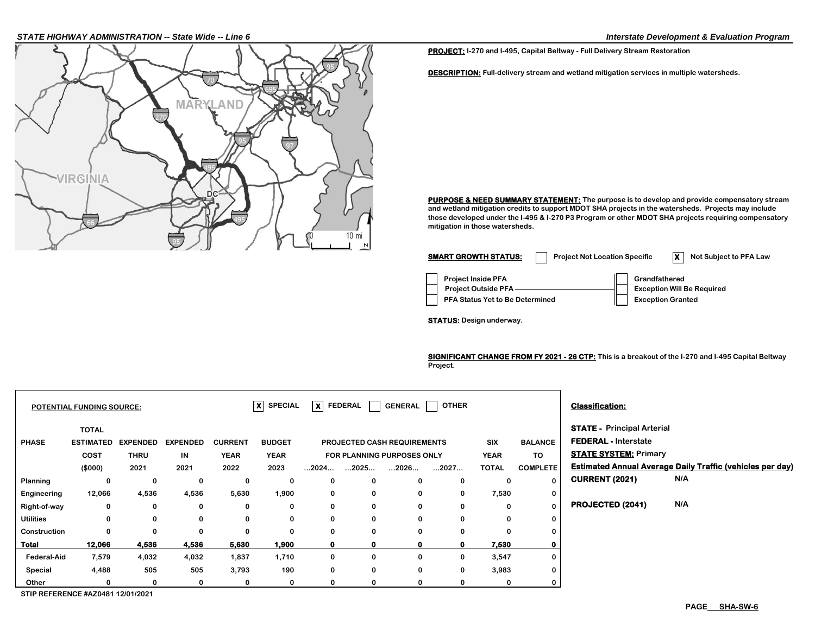### *STATE HIGHWAY ADMINISTRATION -- State Wide -- Line 6 Interstate Development & Evaluation Program*



**PROJECT: I-270 and I-495, Capital Beltway - Full Delivery Stream Restoration**

**DESCRIPTION: Full-delivery stream and wetland mitigation services in multiple watersheds.**

**PURPOSE & NEED SUMMARY STATEMENT: The purpose is to develop and provide compensatory stream and wetland mitigation credits to support MDOT SHA projects in the watersheds. Projects may include those developed under the I-495 & I-270 P3 Program or other MDOT SHA projects requiring compensatory mitigation in those watersheds.** 



**STATUS: Design underway.**

**SIGNIFICANT CHANGE FROM FY 2021 - 26 CTP: This is a breakout of the I-270 and I-495 Capital Beltway Project.**

|                  | <b>POTENTIAL FUNDING SOURCE:</b> |                 |                 |                | $ X $ SPECIAL |                      | $ \mathsf{x} $ FEDERAL $ $         | <b>GENERAL</b> | <b>OTHER</b> |              |                 | <b>Classification:</b>            |                                                                  |
|------------------|----------------------------------|-----------------|-----------------|----------------|---------------|----------------------|------------------------------------|----------------|--------------|--------------|-----------------|-----------------------------------|------------------------------------------------------------------|
|                  | <b>TOTAL</b>                     |                 |                 |                |               |                      |                                    |                |              |              |                 | <b>STATE - Principal Arterial</b> |                                                                  |
| <b>PHASE</b>     | <b>ESTIMATED</b>                 | <b>EXPENDED</b> | <b>EXPENDED</b> | <b>CURRENT</b> | <b>BUDGET</b> |                      | <b>PROJECTED CASH REQUIREMENTS</b> |                |              | <b>SIX</b>   | <b>BALANCE</b>  | <b>FEDERAL - Interstate</b>       |                                                                  |
|                  | COST                             | <b>THRU</b>     | IN              | <b>YEAR</b>    | <b>YEAR</b>   |                      | <b>FOR PLANNING PURPOSES ONLY</b>  |                |              | <b>YEAR</b>  | <b>TO</b>       | <b>STATE SYSTEM: Primary</b>      |                                                                  |
|                  | (\$000)                          | 2021            | 2021            | 2022           | 2023          | $\dots$ 2024 $\dots$ | 2025                               | 2026           | 2027         | <b>TOTAL</b> | <b>COMPLETE</b> |                                   | <b>Estimated Annual Average Daily Traffic (vehicles per day)</b> |
| Planning         |                                  | 0               | 0               | 0              | 0             | 0                    | 0                                  |                | 0            | 0            | $\Omega$        | <b>CURRENT (2021)</b>             | N/A                                                              |
| Engineering      | 12,066                           | 4,536           | 4,536           | 5,630          | 1,900         | 0                    | $\mathbf 0$                        | 0              | 0            | 7,530        | 0               |                                   |                                                                  |
| Right-of-way     | 0                                | 0               | 0               | 0              | 0             | 0                    | 0                                  | $\Omega$       | 0            | 0            | $\Omega$        | PROJECTED (2041)                  | N/A                                                              |
| <b>Utilities</b> | 0                                | 0               | 0               | 0              | 0             | 0                    | 0                                  | 0              | 0            | 0            | $\bf{0}$        |                                   |                                                                  |
| Construction     | $\Omega$                         | 0               | 0               | 0              | 0             | 0                    | 0                                  | $\Omega$       | 0            |              | $\bf{0}$        |                                   |                                                                  |
| Total            | 12,066                           | 4,536           | 4,536           | 5,630          | 1,900         | $\mathbf 0$          | $\mathbf{0}$                       | $\mathbf{0}$   | $\mathbf 0$  | 7.530        | $\mathbf 0$     |                                   |                                                                  |
| Federal-Aid      | 7,579                            | 4,032           | 4,032           | 1,837          | 1,710         | 0                    | 0                                  |                | 0            | 3,547        | $\bf{0}$        |                                   |                                                                  |
| Special          | 4,488                            | 505             | 505             | 3,793          | 190           | 0                    | 0                                  | 0              | 0            | 3,983        | 0               |                                   |                                                                  |
| Other            |                                  | 0               | 0               | 0              | 0             | 0                    | 0                                  |                |              |              | 0               |                                   |                                                                  |

**STIP REFERENCE #AZ0481 12/01/2021**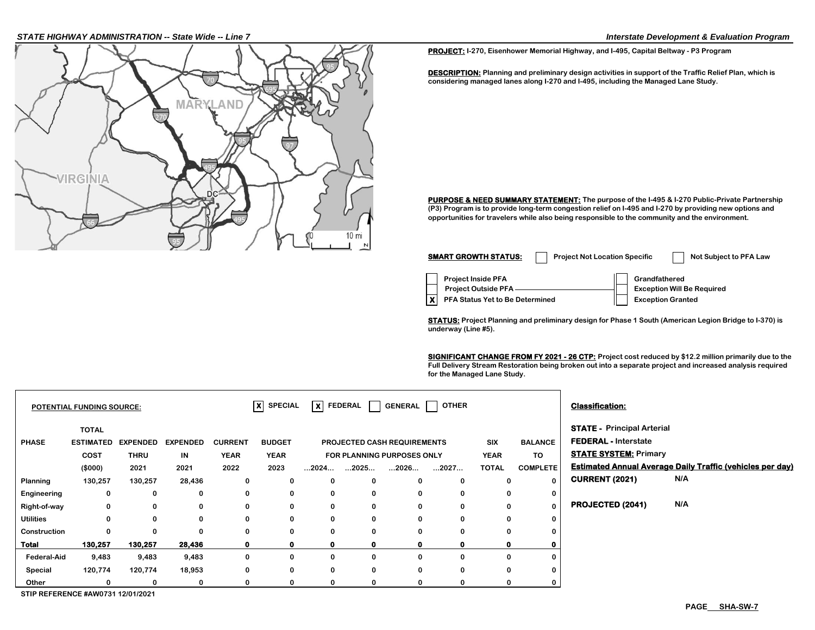### *STATE HIGHWAY ADMINISTRATION -- State Wide -- Line 7 Interstate Development & Evaluation Program*



**PROJECT: I-270, Eisenhower Memorial Highway, and I-495, Capital Beltway - P3 Program**

**DESCRIPTION: Planning and preliminary design activities in support of the Traffic Relief Plan, which is considering managed lanes along I-270 and I-495, including the Managed Lane Study.**

**PURPOSE & NEED SUMMARY STATEMENT: The purpose of the I-495 & I-270 Public-Private Partnership (P3) Program is to provide long-term congestion relief on I-495 and I-270 by providing new options and opportunities for travelers while also being responsible to the community and the environment.**

| <b>SMART GROWTH STATUS:</b>                                                                | <b>Project Not Location Specific</b> |                                           | Not Subject to PFA Law            |
|--------------------------------------------------------------------------------------------|--------------------------------------|-------------------------------------------|-----------------------------------|
| <b>Project Inside PFA</b><br><b>Project Outside PFA</b><br>PFA Status Yet to Be Determined |                                      | Grandfathered<br><b>Exception Granted</b> | <b>Exception Will Be Required</b> |

**STATUS: Project Planning and preliminary design for Phase 1 South (American Legion Bridge to I-370) is underway (Line #5).**

**SIGNIFICANT CHANGE FROM FY 2021 - 26 CTP: Project cost reduced by \$12.2 million primarily due to the Full Delivery Stream Restoration being broken out into a separate project and increased analysis required for the Managed Lane Study.** 

|                                          | <b>POTENTIAL FUNDING SOURCE:</b> |                 |                 |                | $\vert x \vert$<br><b>SPECIAL</b> |                      | X FEDERAL            | <b>GENERAL</b>                     | <b>OTHER</b> |              |                 | <b>Classification:</b>            |                                                                  |
|------------------------------------------|----------------------------------|-----------------|-----------------|----------------|-----------------------------------|----------------------|----------------------|------------------------------------|--------------|--------------|-----------------|-----------------------------------|------------------------------------------------------------------|
|                                          | <b>TOTAL</b>                     |                 |                 |                |                                   |                      |                      |                                    |              |              |                 | <b>STATE - Principal Arterial</b> |                                                                  |
| <b>PHASE</b>                             | <b>ESTIMATED</b>                 | <b>EXPENDED</b> | <b>EXPENDED</b> | <b>CURRENT</b> | <b>BUDGET</b>                     |                      |                      | <b>PROJECTED CASH REQUIREMENTS</b> |              | <b>SIX</b>   | <b>BALANCE</b>  | <b>FEDERAL - Interstate</b>       |                                                                  |
|                                          | <b>COST</b>                      | <b>THRU</b>     | IN              | <b>YEAR</b>    | <b>YEAR</b>                       |                      |                      | FOR PLANNING PURPOSES ONLY         |              | <b>YEAR</b>  | TO              | <b>STATE SYSTEM: Primary</b>      |                                                                  |
|                                          | (\$000)                          | 2021            | 2021            | 2022           | 2023                              | $\dots$ 2024 $\dots$ | $\dots$ 2025 $\dots$ | 2026                               | 2027         | <b>TOTAL</b> | <b>COMPLETE</b> |                                   | <b>Estimated Annual Average Daily Traffic (vehicles per day)</b> |
| <b>Planning</b>                          | 130,257                          | 130,257         | 28,436          | 0              | 0                                 | 0                    | 0                    | 0                                  | 0            | 0            |                 | <b>CURRENT (2021)</b>             | N/A                                                              |
| Engineering                              | 0                                | 0               | 0               | 0              | 0                                 | $\mathbf 0$          | 0                    | 0                                  | $\Omega$     | 0            |                 |                                   |                                                                  |
| Right-of-way                             | 0                                | 0               | 0               | 0              | $\mathbf 0$                       | 0                    | 0                    | 0                                  | 0            | 0            |                 | PROJECTED (2041)                  | N/A                                                              |
| <b>Utilities</b>                         | 0                                | 0               | 0               | 0              | 0                                 | $\mathbf 0$          | 0                    | 0                                  | $\Omega$     | 0            |                 |                                   |                                                                  |
| Construction                             | $\bf{0}$                         | 0               | 0               | 0              | 0                                 | 0                    | 0                    | 0                                  | 0            | 0            |                 |                                   |                                                                  |
| Total                                    | 130,257                          | 130,257         | 28,436          | $\mathbf{o}$   | $\mathbf{0}$                      | $\mathbf o$          | $\mathbf{0}$         | $\mathbf{0}$                       | 0            | $\mathbf{0}$ |                 |                                   |                                                                  |
| <b>Federal-Aid</b>                       | 9,483                            | 9,483           | 9,483           | 0              | 0                                 | 0                    | 0                    | 0                                  | $\Omega$     | 0            |                 |                                   |                                                                  |
| Special                                  | 120,774                          | 120,774         | 18,953          | 0              | 0                                 | 0                    | 0                    | 0                                  | $\mathbf 0$  | 0            |                 |                                   |                                                                  |
| Other                                    | O                                | O               | 0               |                | 0                                 | $\Omega$             | $\Omega$             | 0                                  | O            | 0            |                 |                                   |                                                                  |
| <b>CTID DEEEDENGE #AWG794 49/04/9094</b> |                                  |                 |                 |                |                                   |                      |                      |                                    |              |              |                 |                                   |                                                                  |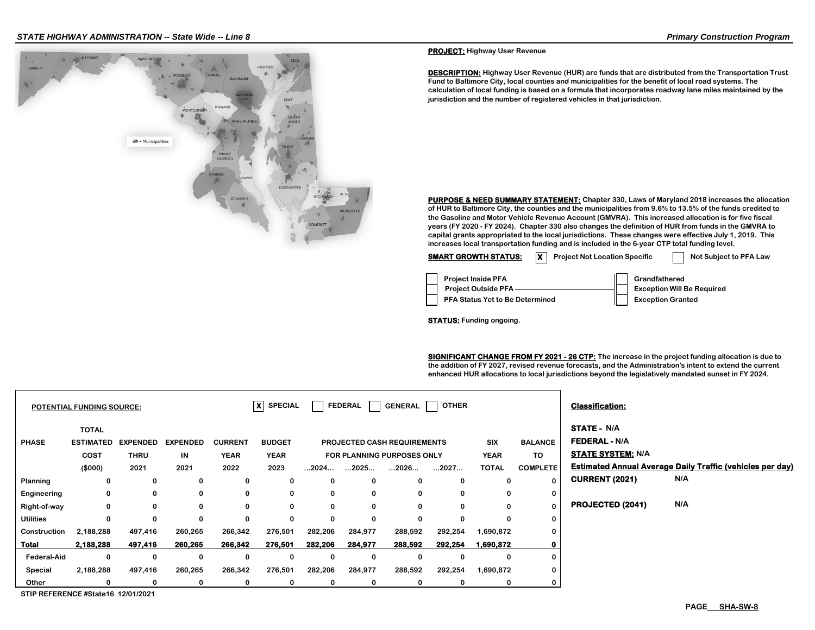

**PROJECT: Highway User Revenue**

**DESCRIPTION: Highway User Revenue (HUR) are funds that are distributed from the Transportation Trust Fund to Baltimore City, local counties and municipalities for the benefit of local road systems. The calculation of local funding is based on a formula that incorporates roadway lane miles maintained by the jurisdiction and the number of registered vehicles in that jurisdiction.**

**PURPOSE & NEED SUMMARY STATEMENT: Chapter 330, Laws of Maryland 2018 increases the allocation of HUR to Baltimore City, the counties and the municipalities from 9.6% to 13.5% of the funds credited to the Gasoline and Motor Vehicle Revenue Account (GMVRA). This increased allocation is for five fiscal years (FY 2020 - FY 2024). Chapter 330 also changes the definition of HUR from funds in the GMVRA to capital grants appropriated to the local jurisdictions. These changes were effective July 1, 2019. This increases local transportation funding and is included in the 6-year CTP total funding level.**

**SMART GROWTH STATUS:** X Project Not Location Specific Not Subject to PFA Law

| <b>Project Inside PFA</b>       | Grandfathered                     |
|---------------------------------|-----------------------------------|
| Project Outside PFA -           | <b>Exception Will Be Required</b> |
| PFA Status Yet to Be Determined | <b>Exception Granted</b>          |

**STATUS: Funding ongoing.**

**SIGNIFICANT CHANGE FROM FY 2021 - 26 CTP: The increase in the project funding allocation is due to the addition of FY 2027, revised revenue forecasts, and the Administration's intent to extend the current enhanced HUR allocations to local jurisdictions beyond the legislatively mandated sunset in FY 2024.**

| <b>POTENTIAL FUNDING SOURCE:</b> |                                                            |                                        | $ X $ SPECIAL                 |                                       | <b>FEDERAL</b>                       | <b>GENERAL</b> | <b>OTHER</b>         |                                                                          |          | <b>Classification:</b>                    |                                                |                                                                        |                                                                  |
|----------------------------------|------------------------------------------------------------|----------------------------------------|-------------------------------|---------------------------------------|--------------------------------------|----------------|----------------------|--------------------------------------------------------------------------|----------|-------------------------------------------|------------------------------------------------|------------------------------------------------------------------------|------------------------------------------------------------------|
| <b>PHASE</b>                     | <b>TOTAL</b><br><b>ESTIMATED</b><br><b>COST</b><br>(\$000) | <b>EXPENDED</b><br><b>THRU</b><br>2021 | <b>EXPENDED</b><br>IN<br>2021 | <b>CURRENT</b><br><b>YEAR</b><br>2022 | <b>BUDGET</b><br><b>YEAR</b><br>2023 | 2024           | $\dots$ 2025 $\dots$ | <b>PROJECTED CASH REQUIREMENTS</b><br>FOR PLANNING PURPOSES ONLY<br>2026 | 2027     | <b>SIX</b><br><b>YEAR</b><br><b>TOTAL</b> | <b>BALANCE</b><br><b>TO</b><br><b>COMPLETE</b> | <b>STATE - N/A</b><br><b>FEDERAL - N/A</b><br><b>STATE SYSTEM: N/A</b> | <b>Estimated Annual Average Daily Traffic (vehicles per day)</b> |
| Planning                         | 0                                                          | 0                                      | 0                             | 0                                     | 0                                    | 0              | 0                    | 0                                                                        | 0        | 0                                         |                                                | <b>CURRENT (2021)</b>                                                  | N/A                                                              |
| Engineering                      | 0                                                          | $\bf{0}$                               | 0                             | 0                                     | 0                                    | 0              | 0                    | 0                                                                        | 0        | 0                                         | 0                                              |                                                                        |                                                                  |
| Right-of-way                     | 0                                                          | $\Omega$                               | 0                             | 0                                     | 0                                    | 0              | 0                    | 0                                                                        | 0        | 0                                         |                                                | PROJECTED (2041)                                                       | N/A                                                              |
| <b>Utilities</b>                 | 0                                                          | $\Omega$                               | 0                             | 0                                     | 0                                    | 0              | $\Omega$             | 0                                                                        | $\Omega$ | 0                                         | 0                                              |                                                                        |                                                                  |
| Construction                     | 2,188,288                                                  | 497,416                                | 260,265                       | 266,342                               | 276,501                              | 282,206        | 284,977              | 288,592                                                                  | 292,254  | 1,690,872                                 | 0                                              |                                                                        |                                                                  |
| <b>Total</b>                     | 2,188,288                                                  | 497,416                                | 260,265                       | 266,342                               | 276,501                              | 282,206        | 284,977              | 288,592                                                                  | 292,254  | 1,690,872                                 |                                                |                                                                        |                                                                  |
| <b>Federal-Aid</b>               | $\mathbf 0$                                                | 0                                      | 0                             | 0                                     | 0                                    | $\mathbf 0$    | 0                    | 0                                                                        | 0        | 0                                         |                                                |                                                                        |                                                                  |
| Special                          | 2,188,288                                                  | 497,416                                | 260,265                       | 266,342                               | 276,501                              | 282,206        | 284,977              | 288,592                                                                  | 292,254  | 1,690,872                                 |                                                |                                                                        |                                                                  |
| Other                            | 0                                                          | 0                                      | 0                             | 0                                     | 0                                    | 0              | 0                    | 0                                                                        | 0        | 0                                         |                                                |                                                                        |                                                                  |

**STIP REFERENCE #State16 12/01/2021**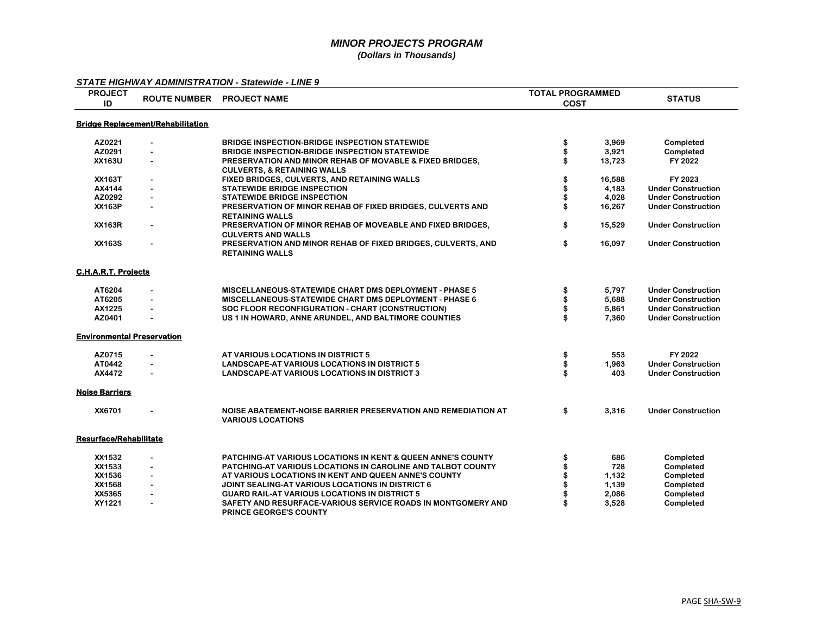| <b>PROJECT</b><br>ID              |                                          | ROUTE NUMBER PROJECT NAME                                                                          | <b>TOTAL PROGRAMMED</b><br><b>COST</b> | <b>STATUS</b>             |
|-----------------------------------|------------------------------------------|----------------------------------------------------------------------------------------------------|----------------------------------------|---------------------------|
|                                   | <b>Bridge Replacement/Rehabilitation</b> |                                                                                                    |                                        |                           |
| AZ0221                            | $\mathbf{r}$                             | <b>BRIDGE INSPECTION-BRIDGE INSPECTION STATEWIDE</b>                                               | 3,969<br>\$                            | Completed                 |
| AZ0291                            | $\blacksquare$                           | <b>BRIDGE INSPECTION-BRIDGE INSPECTION STATEWIDE</b>                                               | 3,921                                  | Completed                 |
| XX163U                            | $\blacksquare$                           | PRESERVATION AND MINOR REHAB OF MOVABLE & FIXED BRIDGES.<br><b>CULVERTS, &amp; RETAINING WALLS</b> | 13,723                                 | FY 2022                   |
| <b>XX163T</b>                     | $\blacksquare$                           | FIXED BRIDGES, CULVERTS, AND RETAINING WALLS                                                       | 16,588                                 | FY 2023                   |
| AX4144                            |                                          | <b>STATEWIDE BRIDGE INSPECTION</b>                                                                 | 4,183                                  | <b>Under Construction</b> |
| AZ0292                            |                                          | <b>STATEWIDE BRIDGE INSPECTION</b>                                                                 | 4,028                                  | <b>Under Construction</b> |
| <b>XX163P</b>                     | $\blacksquare$                           | PRESERVATION OF MINOR REHAB OF FIXED BRIDGES, CULVERTS AND<br><b>RETAINING WALLS</b>               | 16,267                                 | <b>Under Construction</b> |
| <b>XX163R</b>                     | $\blacksquare$                           | PRESERVATION OF MINOR REHAB OF MOVEABLE AND FIXED BRIDGES,<br><b>CULVERTS AND WALLS</b>            | \$<br>15,529                           | <b>Under Construction</b> |
| <b>XX163S</b>                     |                                          | PRESERVATION AND MINOR REHAB OF FIXED BRIDGES, CULVERTS, AND<br><b>RETAINING WALLS</b>             | \$<br>16,097                           | <b>Under Construction</b> |
| <b>C.H.A.R.T. Projects</b>        |                                          |                                                                                                    |                                        |                           |
| AT6204                            |                                          | <b>MISCELLANEOUS-STATEWIDE CHART DMS DEPLOYMENT - PHASE 5</b>                                      | \$<br>5,797                            | <b>Under Construction</b> |
| AT6205                            |                                          | MISCELLANEOUS-STATEWIDE CHART DMS DEPLOYMENT - PHASE 6                                             | 5.688                                  | <b>Under Construction</b> |
| AX1225                            |                                          | SOC FLOOR RECONFIGURATION - CHART (CONSTRUCTION)                                                   | 5,861                                  | <b>Under Construction</b> |
| AZ0401                            | $\blacksquare$                           | US 1 IN HOWARD, ANNE ARUNDEL, AND BALTIMORE COUNTIES                                               | 7,360                                  | <b>Under Construction</b> |
| <b>Environmental Preservation</b> |                                          |                                                                                                    |                                        |                           |
| AZ0715                            | $\mathbf{r}$                             | AT VARIOUS LOCATIONS IN DISTRICT 5                                                                 | 553<br>\$                              | FY 2022                   |
| AT0442                            | $\blacksquare$                           | <b>LANDSCAPE-AT VARIOUS LOCATIONS IN DISTRICT 5</b>                                                | \$<br>1,963                            | <b>Under Construction</b> |
| AX4472                            |                                          | <b>LANDSCAPE-AT VARIOUS LOCATIONS IN DISTRICT 3</b>                                                | 403                                    | <b>Under Construction</b> |
| <b>Noise Barriers</b>             |                                          |                                                                                                    |                                        |                           |
| XX6701                            | $\blacksquare$                           | NOISE ABATEMENT-NOISE BARRIER PRESERVATION AND REMEDIATION AT<br><b>VARIOUS LOCATIONS</b>          | \$<br>3,316                            | <b>Under Construction</b> |
| <b>Resurface/Rehabilitate</b>     |                                          |                                                                                                    |                                        |                           |
| XX1532                            | $\blacksquare$                           | <b>PATCHING-AT VARIOUS LOCATIONS IN KENT &amp; QUEEN ANNE'S COUNTY</b>                             | 686                                    | Completed                 |
| XX1533                            | $\blacksquare$                           | PATCHING-AT VARIOUS LOCATIONS IN CAROLINE AND TALBOT COUNTY                                        | 728                                    | Completed                 |
| XX1536                            |                                          | AT VARIOUS LOCATIONS IN KENT AND QUEEN ANNE'S COUNTY                                               | 1,132                                  | Completed                 |
| XX1568                            | $\blacksquare$                           | JOINT SEALING-AT VARIOUS LOCATIONS IN DISTRICT 6                                                   | 1,139                                  | Completed                 |
| XX5365                            |                                          | <b>GUARD RAIL-AT VARIOUS LOCATIONS IN DISTRICT 5</b>                                               | 2,086                                  | Completed                 |
| XY1221                            | $\blacksquare$                           | SAFETY AND RESURFACE-VARIOUS SERVICE ROADS IN MONTGOMERY AND<br><b>PRINCE GEORGE'S COUNTY</b>      | 3,528                                  | Completed                 |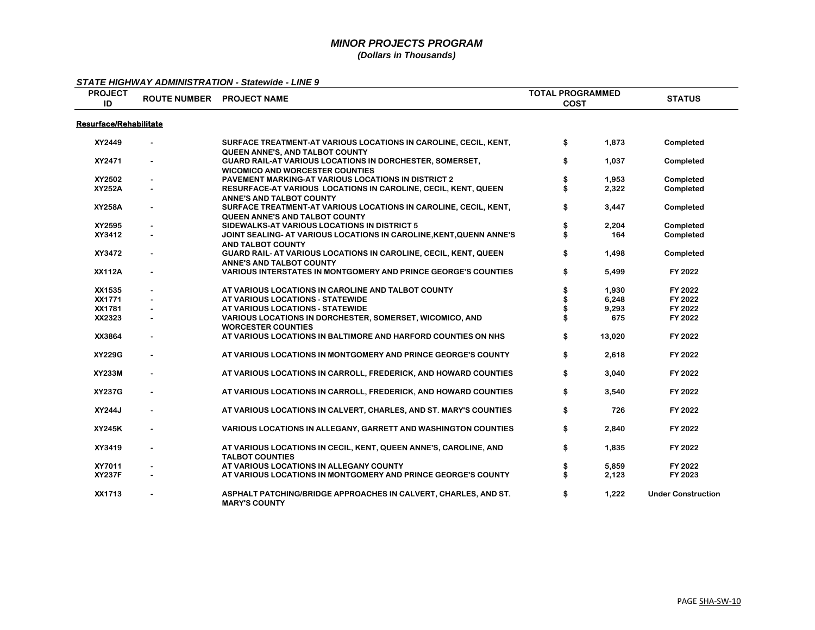| <b>PROJECT</b>                | ROUTE NUMBER PROJECT NAME                                                                                  | <b>TOTAL PROGRAMMED</b> |        | <b>STATUS</b>             |
|-------------------------------|------------------------------------------------------------------------------------------------------------|-------------------------|--------|---------------------------|
| ID                            |                                                                                                            | <b>COST</b>             |        |                           |
| <b>Resurface/Rehabilitate</b> |                                                                                                            |                         |        |                           |
| XY2449                        | SURFACE TREATMENT-AT VARIOUS LOCATIONS IN CAROLINE, CECIL, KENT,<br><b>QUEEN ANNE'S, AND TALBOT COUNTY</b> | \$                      | 1,873  | Completed                 |
| XY2471                        | <b>GUARD RAIL-AT VARIOUS LOCATIONS IN DORCHESTER, SOMERSET,</b><br><b>WICOMICO AND WORCESTER COUNTIES</b>  | \$                      | 1,037  | Completed                 |
| XY2502                        | PAVEMENT MARKING-AT VARIOUS LOCATIONS IN DISTRICT 2                                                        | \$                      | 1,953  | Completed                 |
| <b>XY252A</b>                 | RESURFACE-AT VARIOUS LOCATIONS IN CAROLINE, CECIL, KENT, QUEEN<br>ANNE'S AND TALBOT COUNTY                 | \$                      | 2,322  | Completed                 |
| <b>XY258A</b>                 | SURFACE TREATMENT-AT VARIOUS LOCATIONS IN CAROLINE, CECIL, KENT,<br><b>QUEEN ANNE'S AND TALBOT COUNTY</b>  | \$                      | 3,447  | Completed                 |
| XY2595                        | SIDEWALKS-AT VARIOUS LOCATIONS IN DISTRICT 5                                                               |                         | 2,204  | Completed                 |
| XY3412                        | JOINT SEALING- AT VARIOUS LOCATIONS IN CAROLINE, KENT, QUENN ANNE'S<br><b>AND TALBOT COUNTY</b>            |                         | 164    | Completed                 |
| XY3472                        | GUARD RAIL- AT VARIOUS LOCATIONS IN CAROLINE, CECIL, KENT, QUEEN<br>ANNE'S AND TALBOT COUNTY               | \$                      | 1,498  | Completed                 |
| <b>XX112A</b>                 | <b>VARIOUS INTERSTATES IN MONTGOMERY AND PRINCE GEORGE'S COUNTIES</b>                                      | \$                      | 5,499  | FY 2022                   |
| XX1535                        | AT VARIOUS LOCATIONS IN CAROLINE AND TALBOT COUNTY                                                         | \$                      | 1,930  | FY 2022                   |
| XX1771                        | AT VARIOUS LOCATIONS - STATEWIDE                                                                           |                         | 6,248  | FY 2022                   |
| XX1781                        | AT VARIOUS LOCATIONS - STATEWIDE                                                                           |                         | 9,293  | FY 2022                   |
| XX2323                        | VARIOUS LOCATIONS IN DORCHESTER, SOMERSET, WICOMICO, AND<br><b>WORCESTER COUNTIES</b>                      |                         | 675    | FY 2022                   |
| XX3864                        | AT VARIOUS LOCATIONS IN BALTIMORE AND HARFORD COUNTIES ON NHS                                              | \$                      | 13,020 | FY 2022                   |
| <b>XY229G</b>                 | AT VARIOUS LOCATIONS IN MONTGOMERY AND PRINCE GEORGE'S COUNTY                                              | \$                      | 2,618  | FY 2022                   |
| <b>XY233M</b>                 | AT VARIOUS LOCATIONS IN CARROLL, FREDERICK, AND HOWARD COUNTIES                                            | \$                      | 3,040  | FY 2022                   |
| <b>XY237G</b>                 | AT VARIOUS LOCATIONS IN CARROLL, FREDERICK, AND HOWARD COUNTIES                                            | \$                      | 3,540  | FY 2022                   |
| XY244J                        | AT VARIOUS LOCATIONS IN CALVERT, CHARLES, AND ST. MARY'S COUNTIES                                          | \$                      | 726    | FY 2022                   |
| <b>XY245K</b>                 | <b>VARIOUS LOCATIONS IN ALLEGANY, GARRETT AND WASHINGTON COUNTIES</b>                                      | \$                      | 2,840  | FY 2022                   |
| XY3419                        | AT VARIOUS LOCATIONS IN CECIL, KENT, QUEEN ANNE'S, CAROLINE, AND<br><b>TALBOT COUNTIES</b>                 | \$                      | 1,835  | FY 2022                   |
| XY7011                        | AT VARIOUS LOCATIONS IN ALLEGANY COUNTY                                                                    | \$                      | 5,859  | FY 2022                   |
| <b>XY237F</b>                 | AT VARIOUS LOCATIONS IN MONTGOMERY AND PRINCE GEORGE'S COUNTY                                              | \$                      | 2,123  | FY 2023                   |
| XX1713                        | ASPHALT PATCHING/BRIDGE APPROACHES IN CALVERT, CHARLES, AND ST.<br><b>MARY'S COUNTY</b>                    | \$                      | 1,222  | <b>Under Construction</b> |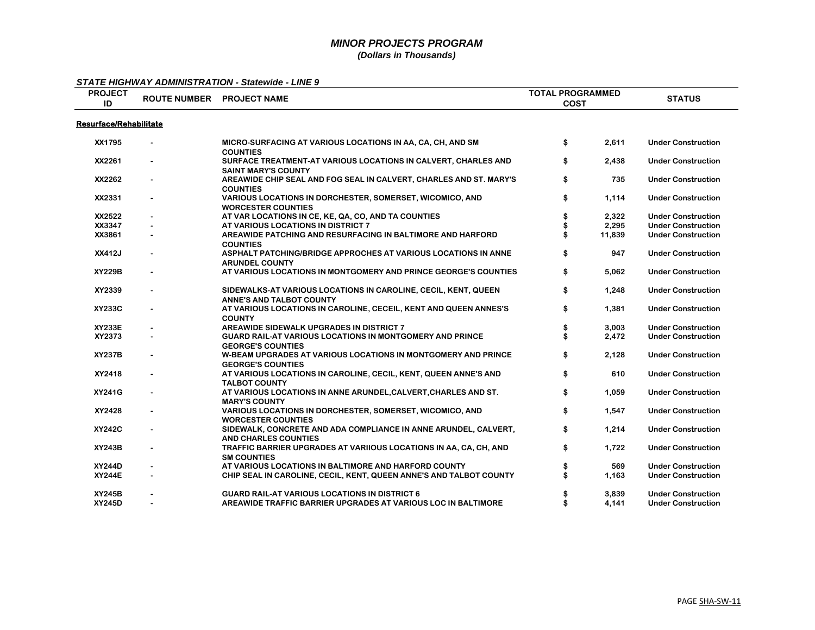| <b>PROJECT</b>                |                | ROUTE NUMBER PROJECT NAME                                                                         | <b>TOTAL PROGRAMMED</b> | <b>STATUS</b>             |
|-------------------------------|----------------|---------------------------------------------------------------------------------------------------|-------------------------|---------------------------|
| ID                            |                |                                                                                                   | <b>COST</b>             |                           |
| <b>Resurface/Rehabilitate</b> |                |                                                                                                   |                         |                           |
| XX1795                        |                | MICRO-SURFACING AT VARIOUS LOCATIONS IN AA, CA, CH, AND SM<br><b>COUNTIES</b>                     | \$<br>2,611             | <b>Under Construction</b> |
| XX2261                        | $\blacksquare$ | SURFACE TREATMENT-AT VARIOUS LOCATIONS IN CALVERT, CHARLES AND<br><b>SAINT MARY'S COUNTY</b>      | \$<br>2,438             | <b>Under Construction</b> |
| XX2262                        | $\blacksquare$ | AREAWIDE CHIP SEAL AND FOG SEAL IN CALVERT, CHARLES AND ST. MARY'S<br><b>COUNTIES</b>             | \$<br>735               | <b>Under Construction</b> |
| XX2331                        |                | <b>VARIOUS LOCATIONS IN DORCHESTER, SOMERSET, WICOMICO, AND</b><br><b>WORCESTER COUNTIES</b>      | \$<br>1,114             | <b>Under Construction</b> |
| XX2522                        |                | AT VAR LOCATIONS IN CE, KE, QA, CO, AND TA COUNTIES                                               | 2,322                   | <b>Under Construction</b> |
| XX3347                        |                | AT VARIOUS LOCATIONS IN DISTRICT 7                                                                | 2,295                   | <b>Under Construction</b> |
| XX3861                        |                | AREAWIDE PATCHING AND RESURFACING IN BALTIMORE AND HARFORD<br><b>COUNTIES</b>                     | 11,839                  | <b>Under Construction</b> |
| XX412J                        | $\blacksquare$ | ASPHALT PATCHING/BRIDGE APPROCHES AT VARIOUS LOCATIONS IN ANNE<br><b>ARUNDEL COUNTY</b>           | \$<br>947               | <b>Under Construction</b> |
| <b>XY229B</b>                 |                | AT VARIOUS LOCATIONS IN MONTGOMERY AND PRINCE GEORGE'S COUNTIES                                   | \$<br>5,062             | <b>Under Construction</b> |
| XY2339                        | $\blacksquare$ | SIDEWALKS-AT VARIOUS LOCATIONS IN CAROLINE, CECIL, KENT, QUEEN<br><b>ANNE'S AND TALBOT COUNTY</b> | \$<br>1,248             | <b>Under Construction</b> |
| <b>XY233C</b>                 | $\blacksquare$ | AT VARIOUS LOCATIONS IN CAROLINE, CECEIL, KENT AND QUEEN ANNES'S<br><b>COUNTY</b>                 | \$<br>1,381             | <b>Under Construction</b> |
| <b>XY233E</b>                 |                | <b>AREAWIDE SIDEWALK UPGRADES IN DISTRICT 7</b>                                                   | 3,003                   | <b>Under Construction</b> |
| XY2373                        |                | <b>GUARD RAIL-AT VARIOUS LOCATIONS IN MONTGOMERY AND PRINCE</b><br><b>GEORGE'S COUNTIES</b>       | \$<br>2,472             | <b>Under Construction</b> |
| <b>XY237B</b>                 | $\blacksquare$ | W-BEAM UPGRADES AT VARIOUS LOCATIONS IN MONTGOMERY AND PRINCE<br><b>GEORGE'S COUNTIES</b>         | \$<br>2,128             | <b>Under Construction</b> |
| XY2418                        | $\blacksquare$ | AT VARIOUS LOCATIONS IN CAROLINE, CECIL, KENT, QUEEN ANNE'S AND<br><b>TALBOT COUNTY</b>           | \$<br>610               | <b>Under Construction</b> |
| <b>XY241G</b>                 |                | AT VARIOUS LOCATIONS IN ANNE ARUNDEL, CALVERT, CHARLES AND ST.<br><b>MARY'S COUNTY</b>            | \$<br>1,059             | <b>Under Construction</b> |
| XY2428                        |                | VARIOUS LOCATIONS IN DORCHESTER, SOMERSET, WICOMICO, AND<br><b>WORCESTER COUNTIES</b>             | \$<br>1,547             | <b>Under Construction</b> |
| <b>XY242C</b>                 |                | SIDEWALK, CONCRETE AND ADA COMPLIANCE IN ANNE ARUNDEL, CALVERT,<br><b>AND CHARLES COUNTIES</b>    | \$<br>1,214             | <b>Under Construction</b> |
| <b>XY243B</b>                 |                | TRAFFIC BARRIER UPGRADES AT VARIIOUS LOCATIONS IN AA, CA, CH, AND<br><b>SM COUNTIES</b>           | \$<br>1,722             | <b>Under Construction</b> |
| <b>XY244D</b>                 |                | AT VARIOUS LOCATIONS IN BALTIMORE AND HARFORD COUNTY                                              | 569                     | <b>Under Construction</b> |
| <b>XY244E</b>                 |                | CHIP SEAL IN CAROLINE, CECIL, KENT, QUEEN ANNE'S AND TALBOT COUNTY                                | 1,163                   | <b>Under Construction</b> |
| <b>XY245B</b>                 |                | <b>GUARD RAIL-AT VARIOUS LOCATIONS IN DISTRICT 6</b>                                              | 3,839                   | <b>Under Construction</b> |
| XY245D                        |                | AREAWIDE TRAFFIC BARRIER UPGRADES AT VARIOUS LOC IN BALTIMORE                                     | 4,141                   | <b>Under Construction</b> |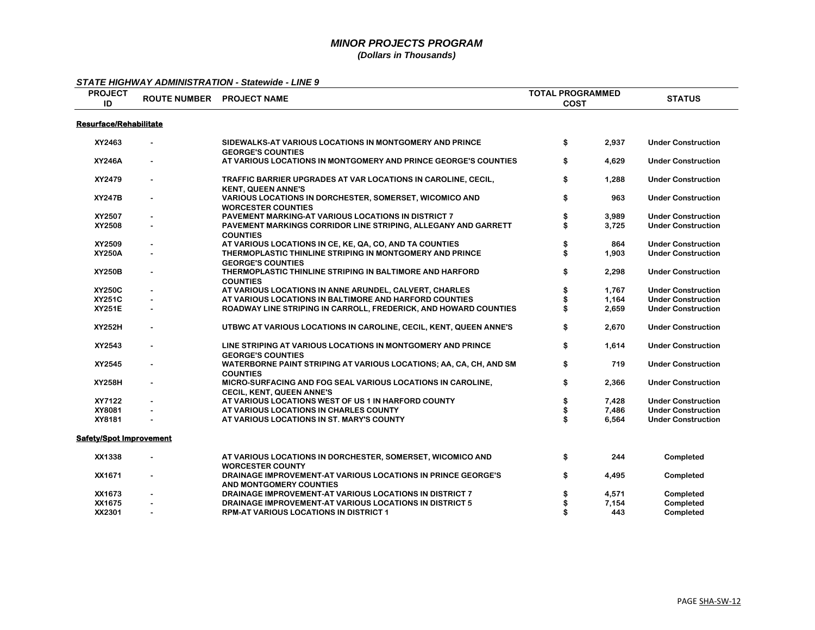| <b>PROJECT</b><br>ID          |                | ROUTE NUMBER PROJECT NAME                                                                   | <b>TOTAL PROGRAMMED</b><br><b>COST</b> |       | <b>STATUS</b>             |
|-------------------------------|----------------|---------------------------------------------------------------------------------------------|----------------------------------------|-------|---------------------------|
| <b>Resurface/Rehabilitate</b> |                |                                                                                             |                                        |       |                           |
| XY2463                        |                | SIDEWALKS-AT VARIOUS LOCATIONS IN MONTGOMERY AND PRINCE<br><b>GEORGE'S COUNTIES</b>         | \$                                     | 2,937 | <b>Under Construction</b> |
| <b>XY246A</b>                 |                | AT VARIOUS LOCATIONS IN MONTGOMERY AND PRINCE GEORGE'S COUNTIES                             | \$                                     | 4,629 | <b>Under Construction</b> |
| XY2479                        | $\blacksquare$ | TRAFFIC BARRIER UPGRADES AT VAR LOCATIONS IN CAROLINE, CECIL,<br><b>KENT, QUEEN ANNE'S</b>  | \$                                     | 1,288 | <b>Under Construction</b> |
| <b>XY247B</b>                 |                | <b>VARIOUS LOCATIONS IN DORCHESTER, SOMERSET, WICOMICO AND</b><br><b>WORCESTER COUNTIES</b> | \$                                     | 963   | <b>Under Construction</b> |
| XY2507                        |                | PAVEMENT MARKING-AT VARIOUS LOCATIONS IN DISTRICT 7                                         | \$                                     | 3,989 | <b>Under Construction</b> |
| XY2508                        |                | PAVEMENT MARKINGS CORRIDOR LINE STRIPING, ALLEGANY AND GARRETT<br><b>COUNTIES</b>           | \$                                     | 3,725 | <b>Under Construction</b> |
| XY2509                        |                | AT VARIOUS LOCATIONS IN CE, KE, QA, CO, AND TA COUNTIES                                     |                                        | 864   | <b>Under Construction</b> |
| <b>XY250A</b>                 |                | THERMOPLASTIC THINLINE STRIPING IN MONTGOMERY AND PRINCE<br><b>GEORGE'S COUNTIES</b>        | \$                                     | 1,903 | <b>Under Construction</b> |
| <b>XY250B</b>                 | $\blacksquare$ | THERMOPLASTIC THINLINE STRIPING IN BALTIMORE AND HARFORD<br><b>COUNTIES</b>                 | \$                                     | 2,298 | <b>Under Construction</b> |
| <b>XY250C</b>                 |                | AT VARIOUS LOCATIONS IN ANNE ARUNDEL, CALVERT, CHARLES                                      | \$                                     | 1,767 | <b>Under Construction</b> |
| <b>XY251C</b>                 |                | AT VARIOUS LOCATIONS IN BALTIMORE AND HARFORD COUNTIES                                      |                                        | 1,164 | <b>Under Construction</b> |
| <b>XY251E</b>                 |                | ROADWAY LINE STRIPING IN CARROLL, FREDERICK, AND HOWARD COUNTIES                            |                                        | 2,659 | <b>Under Construction</b> |
| <b>XY252H</b>                 |                | UTBWC AT VARIOUS LOCATIONS IN CAROLINE, CECIL, KENT, QUEEN ANNE'S                           | \$                                     | 2,670 | <b>Under Construction</b> |
| XY2543                        | $\blacksquare$ | LINE STRIPING AT VARIOUS LOCATIONS IN MONTGOMERY AND PRINCE<br><b>GEORGE'S COUNTIES</b>     | \$                                     | 1,614 | <b>Under Construction</b> |
| XY2545                        | $\sim$         | WATERBORNE PAINT STRIPING AT VARIOUS LOCATIONS; AA, CA, CH, AND SM<br><b>COUNTIES</b>       | \$                                     | 719   | <b>Under Construction</b> |
| XY258H                        | $\blacksquare$ | MICRO-SURFACING AND FOG SEAL VARIOUS LOCATIONS IN CAROLINE,<br>CECIL, KENT, QUEEN ANNE'S    | \$                                     | 2,366 | <b>Under Construction</b> |
| XY7122                        |                | AT VARIOUS LOCATIONS WEST OF US 1 IN HARFORD COUNTY                                         | \$                                     | 7,428 | <b>Under Construction</b> |
| XY8081                        |                | AT VARIOUS LOCATIONS IN CHARLES COUNTY                                                      | \$                                     | 7,486 | <b>Under Construction</b> |
| XY8181                        |                | AT VARIOUS LOCATIONS IN ST. MARY'S COUNTY                                                   | \$                                     | 6,564 | <b>Under Construction</b> |
| Safety/Spot Improvement       |                |                                                                                             |                                        |       |                           |
| XX1338                        | $\sim$         | AT VARIOUS LOCATIONS IN DORCHESTER, SOMERSET, WICOMICO AND<br><b>WORCESTER COUNTY</b>       | \$                                     | 244   | Completed                 |
| XX1671                        | $\blacksquare$ | DRAINAGE IMPROVEMENT-AT VARIOUS LOCATIONS IN PRINCE GEORGE'S<br>AND MONTGOMERY COUNTIES     | \$                                     | 4,495 | Completed                 |
| XX1673                        |                | DRAINAGE IMPROVEMENT-AT VARIOUS LOCATIONS IN DISTRICT 7                                     |                                        | 4,571 | Completed                 |
| XX1675                        |                | DRAINAGE IMPROVEMENT-AT VARIOUS LOCATIONS IN DISTRICT 5                                     |                                        | 7,154 | Completed                 |
| XX2301                        |                | RPM-AT VARIOUS LOCATIONS IN DISTRICT 1                                                      |                                        | 443   | Completed                 |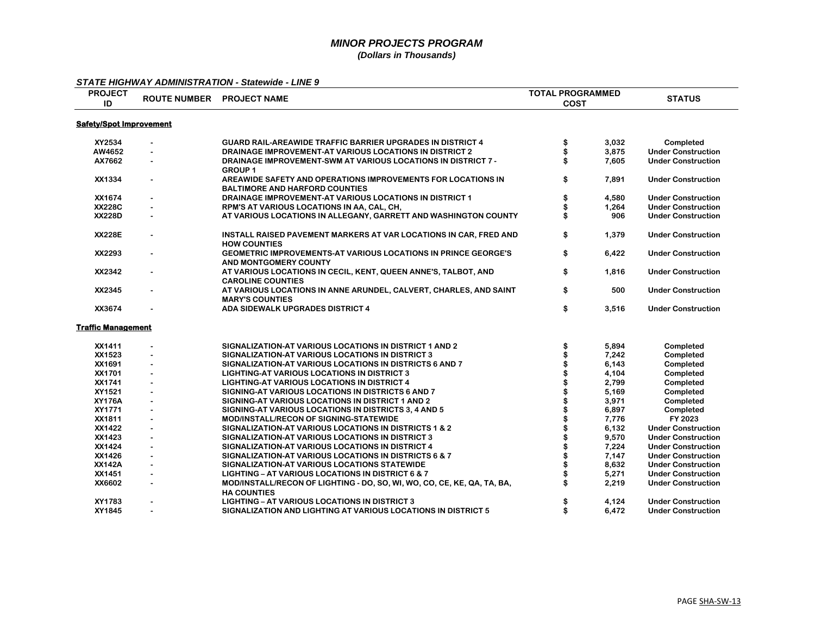| <b>PROJECT</b>                 |                |                                                                                                        | <b>TOTAL PROGRAMMED</b> |                |                                                        |  |
|--------------------------------|----------------|--------------------------------------------------------------------------------------------------------|-------------------------|----------------|--------------------------------------------------------|--|
| ID                             |                | ROUTE NUMBER PROJECT NAME                                                                              | <b>COST</b>             |                | <b>STATUS</b>                                          |  |
| <b>Safety/Spot Improvement</b> |                |                                                                                                        |                         |                |                                                        |  |
| XY2534                         |                | <b>GUARD RAIL-AREAWIDE TRAFFIC BARRIER UPGRADES IN DISTRICT 4</b>                                      | \$                      | 3,032          | Completed                                              |  |
| AW4652                         | $\blacksquare$ | <b>DRAINAGE IMPROVEMENT-AT VARIOUS LOCATIONS IN DISTRICT 2</b>                                         |                         | 3.875          | <b>Under Construction</b>                              |  |
| AX7662                         |                | DRAINAGE IMPROVEMENT-SWM AT VARIOUS LOCATIONS IN DISTRICT 7 -<br><b>GROUP 1</b>                        |                         | 7,605          | <b>Under Construction</b>                              |  |
| XX1334                         |                | AREAWIDE SAFETY AND OPERATIONS IMPROVEMENTS FOR LOCATIONS IN<br><b>BALTIMORE AND HARFORD COUNTIES</b>  | \$                      | 7,891          | <b>Under Construction</b>                              |  |
| XX1674                         |                | DRAINAGE IMPROVEMENT-AT VARIOUS LOCATIONS IN DISTRICT 1                                                | \$                      | 4,580          | <b>Under Construction</b>                              |  |
| <b>XX228C</b>                  |                | RPM'S AT VARIOUS LOCATIONS IN AA, CAL, CH,                                                             |                         | 1,264          | <b>Under Construction</b>                              |  |
| <b>XX228D</b>                  |                | AT VARIOUS LOCATIONS IN ALLEGANY, GARRETT AND WASHINGTON COUNTY                                        |                         | 906            | <b>Under Construction</b>                              |  |
| <b>XX228E</b>                  |                | INSTALL RAISED PAVEMENT MARKERS AT VAR LOCATIONS IN CAR, FRED AND<br><b>HOW COUNTIES</b>               | \$                      | 1,379          | <b>Under Construction</b>                              |  |
| XX2293                         |                | <b>GEOMETRIC IMPROVEMENTS-AT VARIOUS LOCATIONS IN PRINCE GEORGE'S</b><br>AND MONTGOMERY COUNTY         | \$                      | 6,422          | <b>Under Construction</b>                              |  |
| XX2342                         |                | AT VARIOUS LOCATIONS IN CECIL, KENT, QUEEN ANNE'S, TALBOT, AND<br><b>CAROLINE COUNTIES</b>             | \$                      | 1,816          | <b>Under Construction</b>                              |  |
| XX2345                         |                | AT VARIOUS LOCATIONS IN ANNE ARUNDEL, CALVERT, CHARLES, AND SAINT<br><b>MARY'S COUNTIES</b>            | \$                      | 500            | <b>Under Construction</b>                              |  |
| XX3674                         |                | ADA SIDEWALK UPGRADES DISTRICT 4                                                                       | \$                      | 3,516          | <b>Under Construction</b>                              |  |
| <b>Traffic Management</b>      |                |                                                                                                        |                         |                |                                                        |  |
| XX1411                         |                | SIGNALIZATION-AT VARIOUS LOCATIONS IN DISTRICT 1 AND 2                                                 | \$                      | 5,894          | Completed                                              |  |
| XX1523                         |                | SIGNALIZATION-AT VARIOUS LOCATIONS IN DISTRICT 3                                                       |                         | 7,242          | Completed                                              |  |
| XX1691                         | $\sim$         | SIGNALIZATION-AT VARIOUS LOCATIONS IN DISTRICTS 6 AND 7                                                |                         | 6,143          | Completed                                              |  |
| XX1701                         |                | <b>LIGHTING-AT VARIOUS LOCATIONS IN DISTRICT 3</b>                                                     |                         | 4,104          | Completed                                              |  |
| XX1741                         |                | <b>LIGHTING-AT VARIOUS LOCATIONS IN DISTRICT 4</b>                                                     |                         | 2,799          | Completed                                              |  |
| XY1521                         |                | SIGNING-AT VARIOUS LOCATIONS IN DISTRICTS 6 AND 7                                                      |                         | 5,169          | Completed                                              |  |
| <b>XY176A</b>                  |                | SIGNING-AT VARIOUS LOCATIONS IN DISTRICT 1 AND 2                                                       |                         | 3,971          | Completed                                              |  |
| XY1771                         | $\blacksquare$ | SIGNING-AT VARIOUS LOCATIONS IN DISTRICTS 3, 4 AND 5                                                   |                         | 6,897          | Completed                                              |  |
| XX1811<br>XX1422               |                | <b>MOD/INSTALL/RECON OF SIGNING-STATEWIDE</b><br>SIGNALIZATION-AT VARIOUS LOCATIONS IN DISTRICTS 1 & 2 |                         | 7,776<br>6,132 | FY 2023                                                |  |
|                                |                |                                                                                                        |                         |                | <b>Under Construction</b>                              |  |
| XX1423<br>XX1424               |                | SIGNALIZATION-AT VARIOUS LOCATIONS IN DISTRICT 3<br>SIGNALIZATION-AT VARIOUS LOCATIONS IN DISTRICT 4   |                         | 9,570<br>7,224 | <b>Under Construction</b>                              |  |
| XX1426                         |                | SIGNALIZATION-AT VARIOUS LOCATIONS IN DISTRICTS 6 & 7                                                  |                         | 7,147          | <b>Under Construction</b><br><b>Under Construction</b> |  |
| <b>XX142A</b>                  |                | SIGNALIZATION-AT VARIOUS LOCATIONS STATEWIDE                                                           |                         | 8,632          | <b>Under Construction</b>                              |  |
| XX1451                         |                | <b>LIGHTING - AT VARIOUS LOCATIONS IN DISTRICT 6 &amp; 7</b>                                           |                         | 5,271          | <b>Under Construction</b>                              |  |
| XX6602                         |                | MOD/INSTALL/RECON OF LIGHTING - DO, SO, WI, WO, CO, CE, KE, QA, TA, BA,                                |                         | 2,219          | <b>Under Construction</b>                              |  |
|                                |                | <b>HA COUNTIES</b>                                                                                     |                         |                |                                                        |  |
| XY1783                         |                | <b>LIGHTING - AT VARIOUS LOCATIONS IN DISTRICT 3</b>                                                   |                         | 4,124          | <b>Under Construction</b>                              |  |
| XY1845                         |                | SIGNALIZATION AND LIGHTING AT VARIOUS LOCATIONS IN DISTRICT 5                                          | \$                      | 6,472          | <b>Under Construction</b>                              |  |